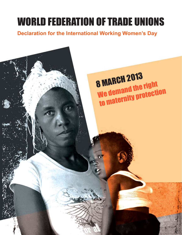# WORLD FEDERATION OF TRADE UNIONS

**Declaration for the International Working Women's Day**

# 8 MARCH 2013 **B** MHILLER THE right to maternity protection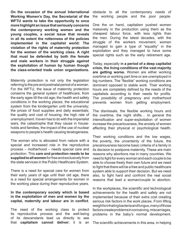**On the occasion of the annual International Working Women's Day, the Secretariat of the WFTU wants to take the opportunity to once more highlight an issue that seriously concerns the contemporary working women and the young couples, a social issue that reveals in all its extent the rottenness of the policies implemented in the capitalist world: The violation of the rights of maternity protection for the women of the working class. A right that must be defended by both the female and male workers in their struggle against the exploitation of human by human though the class-oriented trade union organizations.**

Maternity protection is not only the legislation referring to the pre and postnatal period of a woman. For the WFTU, the issue of maternity protection conserns the general system of healthcare, from the early ages till the old age; the health and safety conditions in the working places; the educational system from the kindergarten until the university; the prices of food supplies and daily essentials; the quality and cost of housing; the high rate of unemployment. It even has to do with the imperialist wars, the catastrophe that they cause in households and families, the impact of the use of nuclear weapons to people's health causing teratogenesis.

The woman who is allocated from nature with a special and increased role in the reproductive process – motherhood – needs special care and protection. This **care and protection needs to be supplied to all women** for free and exclusively from the state services in the Public Healthcare System.

There is a need for special care for women from their early years of age until their old age, there is a need for special arrangements for women in the working place during their reproductive years.

### **In the contemporary society which is based in the exploitation of men and women by the capital, maternity and labour are in conflict**.

The need of the working class to protect its reproductive process and the well-being of its descendants lead us directly to see that **capitalism cannot deliver**; it is an obstacle to all the contemporary needs of the working people and the poor people.

One the on hand, capitalism pushed women massively in the production using them as the cheapest labour force, with less rights than the men. During the latest decades, with the struggle of the workers movement, women managed to gain a type of "equality" in the exploitation and they managed to have some special rights such as the early retirement age.

Today, especially i**n a period of a deep capitalist crisis, the living conditions of the vast majority are getting worse.** Women are either working overtime or working part time or are unemployed in big numbers. The "flexible" working conditions are dominant opposed to stable work. Their working hours are completely defined by the needs of the capitalists according to their needs for profits. The possibility of pregnancy and motherhood prevents women from getting employment.

The dismissals, the flexible working hours and the overtime, the night shifts… In general the intensification and super-exploitation of women increase the precariousness, the anxiety of women affecting their physical or psychological health.

Their working conditions and the low wages, the poverty, the uncertainty of the future, the precariousness become basic criteria of a family in its decision to postpone maternity. These are main reasons why abortions rise in many countries. We need to fight for every woman and each couple to be able to choose freely their own future and we need to fight that there will be a free and public healthcare system able to support their decision. But we need also, to fight hard and confront the real social reasons that lead a woman/couple to abortion.

In the workplaces, the scientific and technological achievements for the health and safety are not implemented because of their extra cost creating serious risk factors in the work places. From lifting weight to inhaling bacteria and fungus, many of those factors create problems in conceiving, miscarriages, problems in the baby's normal development.

The scientific achievements in this area, in helping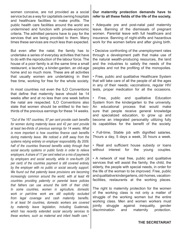women conceive, are not provided as a social service but as a way for capitalists owning hospitals and healthcare facilities to make profits. The public health care facilities around the world are undermined and function with private-economic criteria. The admitted persons have to pay for the services that are being provided to them. Many times these services are much less than expected.

But even after the natal, the family has to undertake a series of everyday activities that have to do with the reproduction of the labour force. The house of a poor family is at the same time a small restaurant, a laundry, a kinder-garden, an old-age home and so much more. These are all activities that usually women are undertaking in their free time, working for free for the whole society.

In most countries not even the ILO Conventions that define that maternity leave should be 14 weeks after and at no less than one week before the natal are respected. ILO Conventions also state that women should be entitled to the twothirds of the previous earnings for these 14 weeks.

"*Out of the 167 countries, 97 per cent provide cash benefits for women during maternity leave and 42 per cent provide at least two-thirds of previous earnings for 14 weeks. What is more important is how countries finance cash benefits during maternity leave. We noticed a shift away from the systems relying entirely on employer responsibility. By 2009, half of the countries financed benefits solely through their social security systems or public funds in order to relieve employers. A share of 17 per cent relied on a mix of payments by employers and social security, while in one-fourth (26 per cent) of the countries payment is still covered entirely by the employer with no public or social security support. We found out that paternity leave provisions are becoming increasingly common around the world, with at least 49 countries providing paternity or parental leave policies that fathers can use around the birth of their child. In some countries, women in agriculture, domestic work or part-time work are still explicitly excluded from legal coverage and cash maternity benefits. In at least 54 countries, domestic workers are covered by maternity leave legislation, including Guatemala, which has recently extended social security services to these workers, such as maternal and infant health care*."

### **Our maternity protection demands have to refer to all these fields of the life of the society.**

• Adequate pre and post-natal paid maternity leave. Banning of the dismissals of pregnant women. Parental leave with full healthcare and insurance. Banning of night-shifts and hazardous work for the women before and after giving birth.

• Decisive confronting of the unemployment rates through a development path that make use of the natural wealth-producing resources, the land and the industries to satisfy the needs of the peoples and not the profiting of the monopolies.

• Free, public and qualitative Healthcare System that will take care of all the people of all the ages in any of their needs; vaccinations, regular HIV tests, proper medication for all the occasions.

• Free, public and qualitative Education System from the kindergarten to the university. An educational process that would make sure that people receive general knowledge and specialized education, to grow up and become an integrated personality utilizing fully its capabilities for the benefit of the society.

• Full-time, Stable job with dignified salaries. 7hours a day, 5 days a week, 35 hours a week.

• Real and sufficient house subsidy or loans without interest for the young couples.

• A network of real free, public and qualitative services that will assist the family, the child, the elderly, the people with special needs, in order for the life of the woman to be improved. Free, public and qualitative kindergartens, old-homes, vacationfacilities, restaurants at the working places.

The right to maternity protection for the women of the working class is not only a matter of struggle of the working women but the entire working class. Men and women workers must jointly struggle against inequality, gender discrimination and maternity protection.